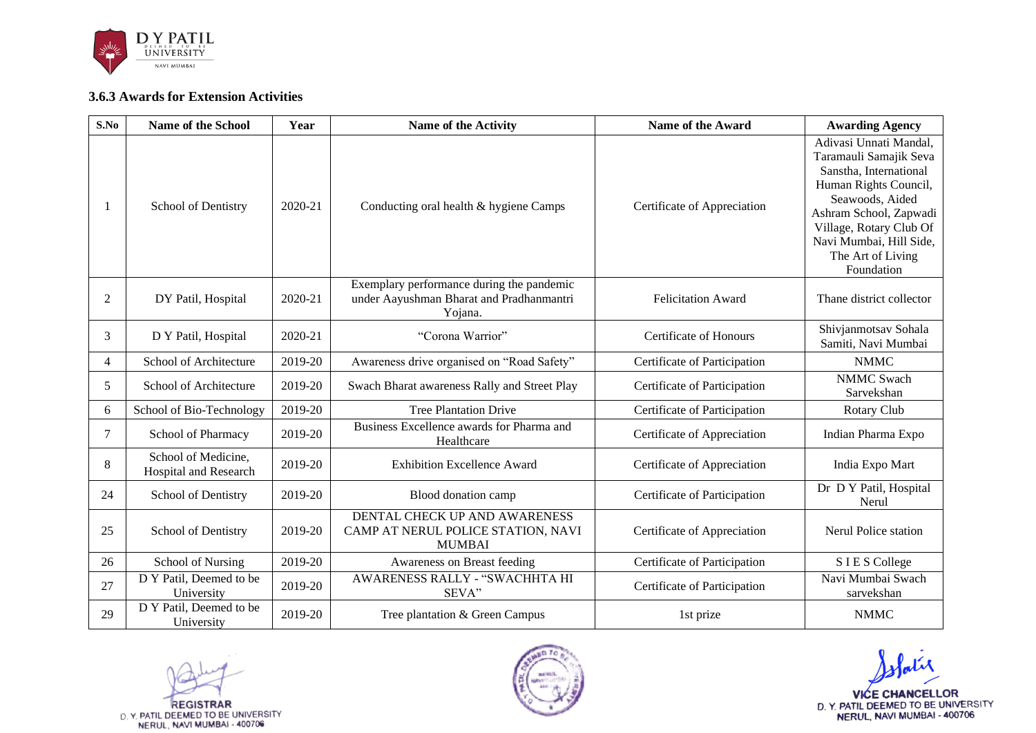

## **3.6.3 Awards for Extension Activities**

| S.No           | <b>Name of the School</b>                    | Year    | <b>Name of the Activity</b>                                                                      | <b>Name of the Award</b>     | <b>Awarding Agency</b>                                                                                                                                                                                                                    |
|----------------|----------------------------------------------|---------|--------------------------------------------------------------------------------------------------|------------------------------|-------------------------------------------------------------------------------------------------------------------------------------------------------------------------------------------------------------------------------------------|
| -1             | School of Dentistry                          | 2020-21 | Conducting oral health & hygiene Camps                                                           | Certificate of Appreciation  | Adivasi Unnati Mandal,<br>Taramauli Samajik Seva<br>Sanstha, International<br>Human Rights Council,<br>Seawoods, Aided<br>Ashram School, Zapwadi<br>Village, Rotary Club Of<br>Navi Mumbai, Hill Side,<br>The Art of Living<br>Foundation |
| 2              | DY Patil, Hospital                           | 2020-21 | Exemplary performance during the pandemic<br>under Aayushman Bharat and Pradhanmantri<br>Yojana. | <b>Felicitation Award</b>    | Thane district collector                                                                                                                                                                                                                  |
| 3              | D Y Patil, Hospital                          | 2020-21 | "Corona Warrior"                                                                                 | Certificate of Honours       | Shivjanmotsav Sohala<br>Samiti, Navi Mumbai                                                                                                                                                                                               |
| $\overline{4}$ | School of Architecture                       | 2019-20 | Awareness drive organised on "Road Safety"                                                       | Certificate of Participation | <b>NMMC</b>                                                                                                                                                                                                                               |
| 5              | School of Architecture                       | 2019-20 | Swach Bharat awareness Rally and Street Play                                                     | Certificate of Participation | <b>NMMC Swach</b><br>Sarvekshan                                                                                                                                                                                                           |
| 6              | School of Bio-Technology                     | 2019-20 | <b>Tree Plantation Drive</b>                                                                     | Certificate of Participation | Rotary Club                                                                                                                                                                                                                               |
| 7              | School of Pharmacy                           | 2019-20 | Business Excellence awards for Pharma and<br>Healthcare                                          | Certificate of Appreciation  | Indian Pharma Expo                                                                                                                                                                                                                        |
| 8              | School of Medicine,<br>Hospital and Research | 2019-20 | <b>Exhibition Excellence Award</b>                                                               | Certificate of Appreciation  | India Expo Mart                                                                                                                                                                                                                           |
| 24             | School of Dentistry                          | 2019-20 | Blood donation camp                                                                              | Certificate of Participation | Dr D Y Patil, Hospital<br>Nerul                                                                                                                                                                                                           |
| 25             | School of Dentistry                          | 2019-20 | DENTAL CHECK UP AND AWARENESS<br>CAMP AT NERUL POLICE STATION, NAVI<br><b>MUMBAI</b>             | Certificate of Appreciation  | Nerul Police station                                                                                                                                                                                                                      |
| 26             | School of Nursing                            | 2019-20 | Awareness on Breast feeding                                                                      | Certificate of Participation | SIES College                                                                                                                                                                                                                              |
| 27             | D Y Patil, Deemed to be<br>University        | 2019-20 | AWARENESS RALLY - "SWACHHTA HI<br>SEVA"                                                          | Certificate of Participation | Navi Mumbai Swach<br>sarvekshan                                                                                                                                                                                                           |
| 29             | D Y Patil, Deemed to be<br>University        | 2019-20 | Tree plantation & Green Campus                                                                   | 1st prize                    | <b>NMMC</b>                                                                                                                                                                                                                               |

REGISTRAR<br>D. Y. PATIL DEEMED TO BE UNIVERSITY<br>NERUL, NAVI MUMBAI - 400706



VICE CHANCELLOR<br>D.Y. PATIL DEEMED TO BE UNIVERSITY<br>NERUL, NAVI MUMBAI - 400706